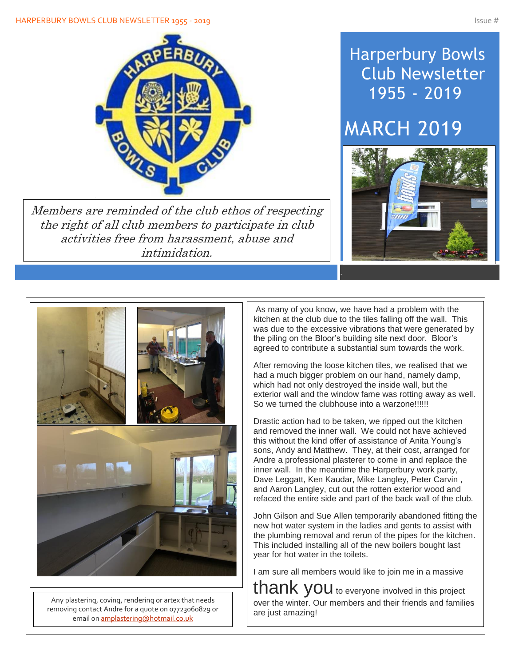

Members are reminded of the club ethos of respecting the right of all club members to participate in club activities free from harassment, abuse and intimidation.

## Harperbury Bowls Club Newsletter 1955 - 2019

# MARCH 2019





Any plastering, coving, rendering or artex that needs removing contact Andre for a quote on 07723060829 or email o[n amplastering@hotmail.co.uk](mailto:amplastering@hotmail.co.uk)

As many of you know, we have had a problem with the kitchen at the club due to the tiles falling off the wall. This was due to the excessive vibrations that were generated by the piling on the Bloor's building site next door. Bloor's agreed to contribute a substantial sum towards the work.

After removing the loose kitchen tiles, we realised that we had a much bigger problem on our hand, namely damp, which had not only destroyed the inside wall, but the exterior wall and the window fame was rotting away as well. So we turned the clubhouse into a warzone!!!!!!

Drastic action had to be taken, we ripped out the kitchen and removed the inner wall. We could not have achieved this without the kind offer of assistance of Anita Young's sons, Andy and Matthew. They, at their cost, arranged for Andre a professional plasterer to come in and replace the inner wall. In the meantime the Harperbury work party, Dave Leggatt, Ken Kaudar, Mike Langley, Peter Carvin , and Aaron Langley, cut out the rotten exterior wood and refaced the entire side and part of the back wall of the club.

John Gilson and Sue Allen temporarily abandoned fitting the new hot water system in the ladies and gents to assist with the plumbing removal and rerun of the pipes for the kitchen. This included installing all of the new boilers bought last year for hot water in the toilets.

I am sure all members would like to join me in a massive

thank you to everyone involved in this project over the winter. Our members and their friends and families are just amazing!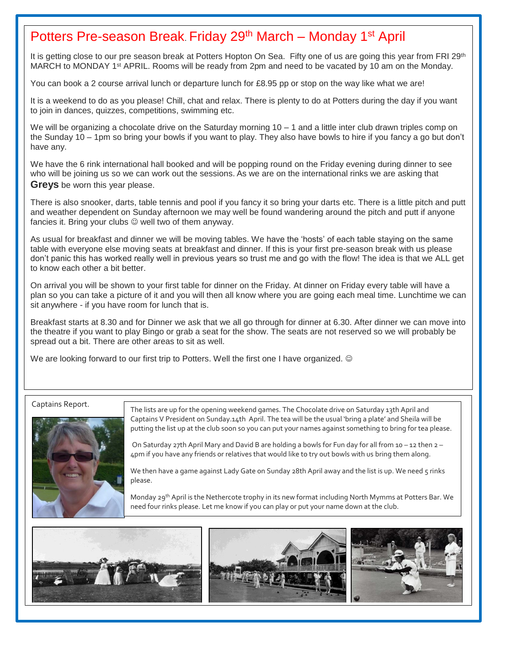#### Potters Pre-season Break. Friday 29<sup>th</sup> March – Monday 1<sup>st</sup> April

It is getting close to our pre season break at Potters Hopton On Sea. Fifty one of us are going this year from FRI 29<sup>th</sup> MARCH to MONDAY 1<sup>st</sup> APRIL. Rooms will be ready from 2pm and need to be vacated by 10 am on the Monday.

You can book a 2 course arrival lunch or departure lunch for £8.95 pp or stop on the way like what we are!

It is a weekend to do as you please! Chill, chat and relax. There is plenty to do at Potters during the day if you want to join in dances, quizzes, competitions, swimming etc.

We will be organizing a chocolate drive on the Saturday morning  $10 - 1$  and a little inter club drawn triples comp on the Sunday 10 – 1pm so bring your bowls if you want to play. They also have bowls to hire if you fancy a go but don't have any.

We have the 6 rink international hall booked and will be popping round on the Friday evening during dinner to see who will be joining us so we can work out the sessions. As we are on the international rinks we are asking that **Greys** be worn this year please.

There is also snooker, darts, table tennis and pool if you fancy it so bring your darts etc. There is a little pitch and putt and weather dependent on Sunday afternoon we may well be found wandering around the pitch and putt if anyone fancies it. Bring your clubs  $\heartsuit$  well two of them anyway.

As usual for breakfast and dinner we will be moving tables. We have the 'hosts' of each table staying on the same table with everyone else moving seats at breakfast and dinner. If this is your first pre-season break with us please don't panic this has worked really well in previous years so trust me and go with the flow! The idea is that we ALL get to know each other a bit better.

On arrival you will be shown to your first table for dinner on the Friday. At dinner on Friday every table will have a plan so you can take a picture of it and you will then all know where you are going each meal time. Lunchtime we can sit anywhere - if you have room for lunch that is.

Breakfast starts at 8.30 and for Dinner we ask that we all go through for dinner at 6.30. After dinner we can move into the theatre if you want to play Bingo or grab a seat for the show. The seats are not reserved so we will probably be spread out a bit. There are other areas to sit as well.

We are looking forward to our first trip to Potters. Well the first one I have organized. ©

#### Captains Report.

Í



The lists are up for the opening weekend games. The Chocolate drive on Saturday 13th April and Captains V President on Sunday.14th April. The tea will be the usual 'bring a plate' and Sheila will be putting the list up at the club soon so you can put your names against something to bring for tea please.

On Saturday 27th April Mary and David B are holding a bowls for Fun day for all from 10 – 12 then 2 – 4pm if you have any friends or relatives that would like to try out bowls with us bring them along.

We then have a game against Lady Gate on Sunday 28th April away and the list is up. We need 5 rinks please.

Monday 29<sup>th</sup> April is the Nethercote trophy in its new format including North Mymms at Potters Bar. We need four rinks please. Let me know if you can play or put your name down at the club.